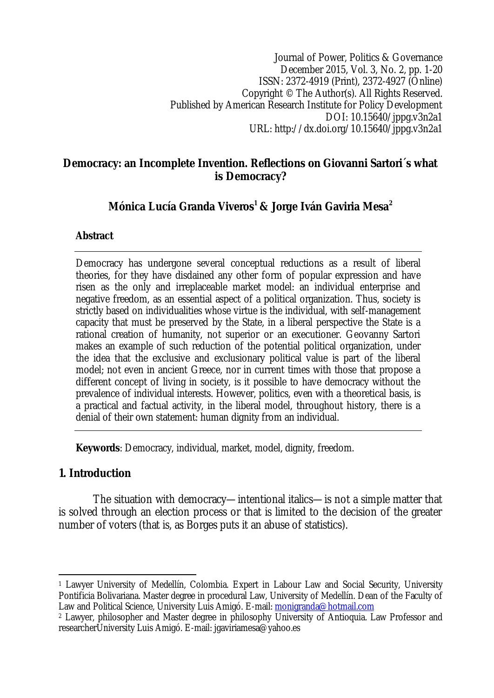Journal of Power, Politics & Governance December 2015, Vol. 3, No. 2, pp. 1-20 ISSN: 2372-4919 (Print), 2372-4927 (Online) Copyright © The Author(s). All Rights Reserved. Published by American Research Institute for Policy Development DOI: 10.15640/jppg.v3n2a1 URL: http://dx.doi.org/10.15640/jppg.v3n2a1

### **Democracy: an Incomplete Invention. Reflections on Giovanni Sartori´s what is Democracy?**

## **Mónica Lucía Granda Viveros<sup>1</sup> & Jorge Iván Gaviria Mesa<sup>2</sup>**

### **Abstract**

Democracy has undergone several conceptual reductions as a result of liberal theories, for they have disdained any other form of popular expression and have risen as the only and irreplaceable market model: an individual enterprise and negative freedom, as an essential aspect of a political organization. Thus, society is strictly based on individualities whose virtue is the individual, with self-management capacity that must be preserved by the State, in a liberal perspective the State is a rational creation of humanity, not superior or an executioner. Geovanny Sartori makes an example of such reduction of the potential political organization, under the idea that the exclusive and exclusionary political value is part of the liberal model; not even in ancient Greece, nor in current times with those that propose a different concept of living in society, is it possible to have democracy without the prevalence of individual interests. However, politics, even with a theoretical basis, is a practical and factual activity, in the liberal model, throughout history, there is a denial of their own statement: human dignity from an individual.

**Keywords**: Democracy, individual, market, model, dignity, freedom.

## **1. Introduction**

The situation with democracy—intentional italics—is not a simple matter that is solved through an election process or that is limited to the decision of the greater number of voters (that is, as Borges puts it an abuse of statistics).

 $\overline{\phantom{a}}$ <sup>1</sup> Lawyer University of Medellín, Colombia. Expert in Labour Law and Social Security, University Pontificia Bolivariana. Master degree in procedural Law, University of Medellín. Dean of the Faculty of Law and Political Science, University Luis Amigó. E-mail: monigranda@hotmail.com

<sup>2</sup> Lawyer, philosopher and Master degree in philosophy University of Antioquia. Law Professor and researcherUniversity Luis Amigó. E-mail: jgaviriamesa@yahoo.es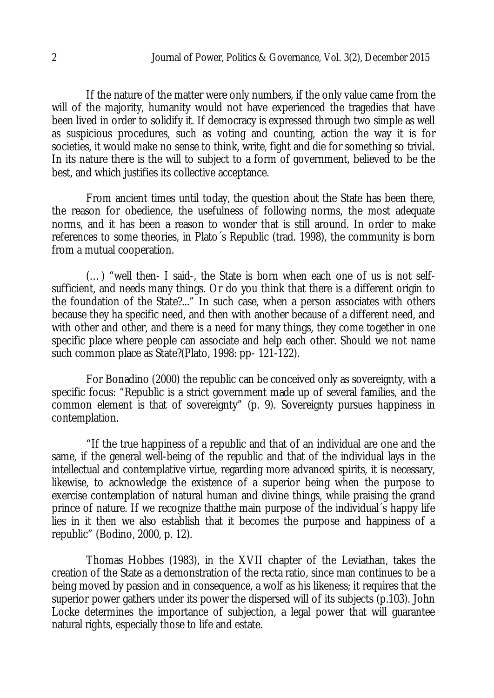If the nature of the matter were only numbers, if the only value came from the will of the majority, humanity would not have experienced the tragedies that have been lived in order to solidify it. If democracy is expressed through two simple as well as suspicious procedures, such as voting and counting, action the way it is for societies, it would make no sense to think, write, fight and die for something so trivial. In its nature there is the will to subject to a form of government, believed to be the best, and which justifies its collective acceptance.

From ancient times until today, the question about the State has been there, the reason for obedience, the usefulness of following norms, the most adequate norms, and it has been a reason to wonder that is still around. In order to make references to some theories, in Plato´s Republic (trad. 1998), the community is born from a mutual cooperation.

(…) "well then- I said-, the State is born when each one of us is not selfsufficient, and needs many things. Or do you think that there is a different origin to the foundation of the State?..." In such case, when a person associates with others because they ha specific need, and then with another because of a different need, and with other and other, and there is a need for many things, they come together in one specific place where people can associate and help each other. Should we not name such common place as State?(Plato, 1998: pp- 121-122).

For Bonadino (2000) the republic can be conceived only as sovereignty, with a specific focus: "Republic is a strict government made up of several families, and the common element is that of sovereignty" (p. 9). Sovereignty pursues happiness in contemplation.

"If the true happiness of a republic and that of an individual are one and the same, if the general well-being of the republic and that of the individual lays in the intellectual and contemplative virtue, regarding more advanced spirits, it is necessary, likewise, to acknowledge the existence of a superior being when the purpose to exercise contemplation of natural human and divine things, while praising the grand prince of nature. If we recognize thatthe main purpose of the individual´s happy life lies in it then we also establish that it becomes the purpose and happiness of a republic" (Bodino, 2000, p. 12).

Thomas Hobbes (1983), in the XVII chapter of the Leviathan, takes the creation of the State as a demonstration of the recta ratio, since man continues to be a being moved by passion and in consequence, a wolf as his likeness; it requires that the superior power gathers under its power the dispersed will of its subjects (p.103). John Locke determines the importance of subjection, a legal power that will guarantee natural rights, especially those to life and estate.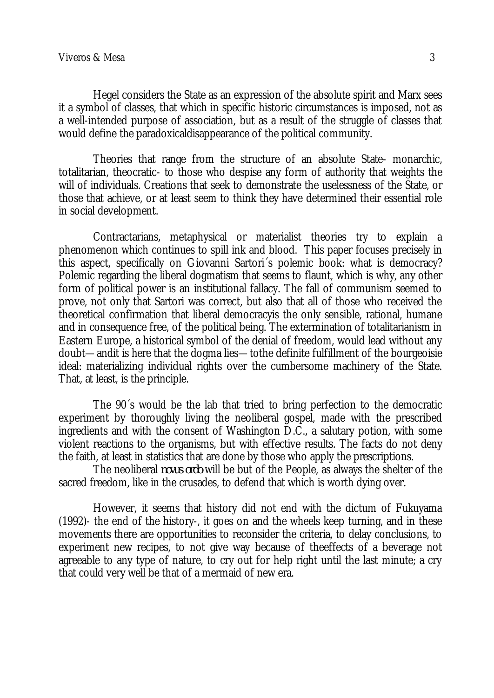Hegel considers the State as an expression of the absolute spirit and Marx sees it a symbol of classes, that which in specific historic circumstances is imposed, not as a well-intended purpose of association, but as a result of the struggle of classes that would define the paradoxicaldisappearance of the political community.

Theories that range from the structure of an absolute State- monarchic, totalitarian, theocratic- to those who despise any form of authority that weights the will of individuals. Creations that seek to demonstrate the uselessness of the State, or those that achieve, or at least seem to think they have determined their essential role in social development.

Contractarians, metaphysical or materialist theories try to explain a phenomenon which continues to spill ink and blood. This paper focuses precisely in this aspect, specifically on Giovanni Sartori´s polemic book: what is democracy? Polemic regarding the liberal dogmatism that seems to flaunt, which is why, any other form of political power is an institutional fallacy. The fall of communism seemed to prove, not only that Sartori was correct, but also that all of those who received the theoretical confirmation that liberal democracyis the only sensible, rational, humane and in consequence free, of the political being. The extermination of totalitarianism in Eastern Europe, a historical symbol of the denial of freedom, would lead without any doubt—andit is here that the dogma lies—tothe definite fulfillment of the bourgeoisie ideal: materializing individual rights over the cumbersome machinery of the State. That, at least, is the principle.

The 90´s would be the lab that tried to bring perfection to the democratic experiment by thoroughly living the neoliberal gospel, made with the prescribed ingredients and with the consent of Washington D.C., a salutary potion, with some violent reactions to the organisms, but with effective results. The facts do not deny the faith, at least in statistics that are done by those who apply the prescriptions.

The neoliberal *novus ordo* will be but of the People, as always the shelter of the sacred freedom, like in the crusades, to defend that which is worth dying over.

However, it seems that history did not end with the dictum of Fukuyama (1992)- the end of the history-, it goes on and the wheels keep turning, and in these movements there are opportunities to reconsider the criteria, to delay conclusions, to experiment new recipes, to not give way because of theeffects of a beverage not agreeable to any type of nature, to cry out for help right until the last minute; a cry that could very well be that of a mermaid of new era.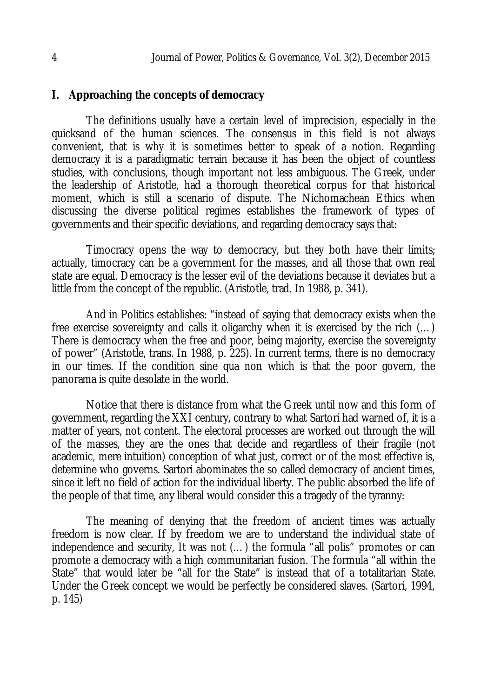### **I. Approaching the concepts of democracy**

The definitions usually have a certain level of imprecision, especially in the quicksand of the human sciences. The consensus in this field is not always convenient, that is why it is sometimes better to speak of a notion. Regarding democracy it is a paradigmatic terrain because it has been the object of countless studies, with conclusions, though important not less ambiguous. The Greek, under the leadership of Aristotle, had a thorough theoretical corpus for that historical moment, which is still a scenario of dispute. The Nichomachean Ethics when discussing the diverse political regimes establishes the framework of types of governments and their specific deviations, and regarding democracy says that:

Timocracy opens the way to democracy, but they both have their limits; actually, timocracy can be a government for the masses, and all those that own real state are equal. Democracy is the lesser evil of the deviations because it deviates but a little from the concept of the republic. (Aristotle, trad. In 1988, p. 341).

And in Politics establishes: "instead of saying that democracy exists when the free exercise sovereignty and calls it oligarchy when it is exercised by the rich (…) There is democracy when the free and poor, being majority, exercise the sovereignty of power" (Aristotle, trans. In 1988, p. 225). In current terms, there is no democracy in our times. If the condition sine qua non which is that the poor govern, the panorama is quite desolate in the world.

Notice that there is distance from what the Greek until now and this form of government, regarding the XXI century, contrary to what Sartori had warned of, it is a matter of years, not content. The electoral processes are worked out through the will of the masses, they are the ones that decide and regardless of their fragile (not academic, mere intuition) conception of what just, correct or of the most effective is, determine who governs. Sartori abominates the so called democracy of ancient times, since it left no field of action for the individual liberty. The public absorbed the life of the people of that time, any liberal would consider this a tragedy of the tyranny:

The meaning of denying that the freedom of ancient times was actually freedom is now clear. If by freedom we are to understand the individual state of independence and security, It was not (…) the formula "all polis" promotes or can promote a democracy with a high communitarian fusion. The formula "all within the State" that would later be "all for the State" is instead that of a totalitarian State. Under the Greek concept we would be perfectly be considered slaves. (Sartori, 1994, p. 145)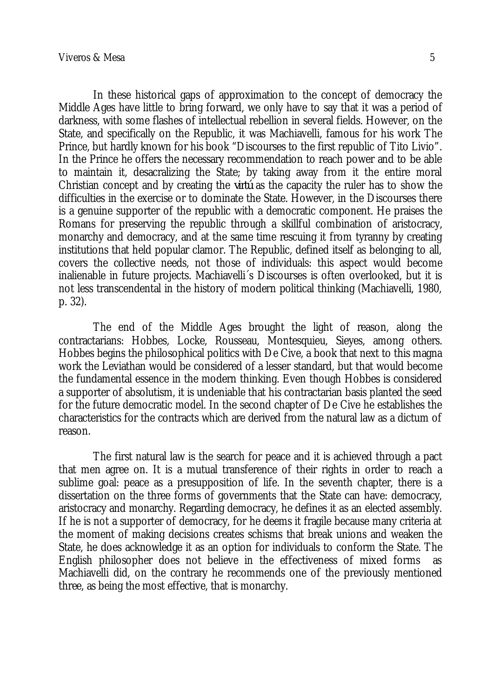In these historical gaps of approximation to the concept of democracy the Middle Ages have little to bring forward, we only have to say that it was a period of darkness, with some flashes of intellectual rebellion in several fields. However, on the State, and specifically on the Republic, it was Machiavelli, famous for his work The Prince, but hardly known for his book "Discourses to the first republic of Tito Livio". In the Prince he offers the necessary recommendation to reach power and to be able to maintain it, desacralizing the State; by taking away from it the entire moral Christian concept and by creating the *virtú* as the capacity the ruler has to show the difficulties in the exercise or to dominate the State. However, in the Discourses there is a genuine supporter of the republic with a democratic component. He praises the Romans for preserving the republic through a skillful combination of aristocracy, monarchy and democracy, and at the same time rescuing it from tyranny by creating institutions that held popular clamor. The Republic, defined itself as belonging to all, covers the collective needs, not those of individuals: this aspect would become inalienable in future projects. Machiavelli´s Discourses is often overlooked, but it is not less transcendental in the history of modern political thinking (Machiavelli, 1980, p. 32).

The end of the Middle Ages brought the light of reason, along the contractarians: Hobbes, Locke, Rousseau, Montesquieu, Sieyes, among others. Hobbes begins the philosophical politics with De Cive, a book that next to this magna work the Leviathan would be considered of a lesser standard, but that would become the fundamental essence in the modern thinking. Even though Hobbes is considered a supporter of absolutism, it is undeniable that his contractarian basis planted the seed for the future democratic model. In the second chapter of De Cive he establishes the characteristics for the contracts which are derived from the natural law as a dictum of reason.

The first natural law is the search for peace and it is achieved through a pact that men agree on. It is a mutual transference of their rights in order to reach a sublime goal: peace as a presupposition of life. In the seventh chapter, there is a dissertation on the three forms of governments that the State can have: democracy, aristocracy and monarchy. Regarding democracy, he defines it as an elected assembly. If he is not a supporter of democracy, for he deems it fragile because many criteria at the moment of making decisions creates schisms that break unions and weaken the State, he does acknowledge it as an option for individuals to conform the State. The English philosopher does not believe in the effectiveness of mixed forms as Machiavelli did, on the contrary he recommends one of the previously mentioned three, as being the most effective, that is monarchy.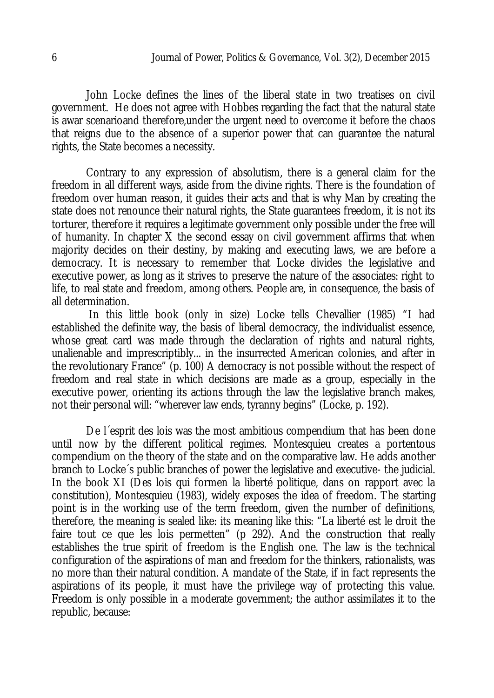John Locke defines the lines of the liberal state in two treatises on civil government. He does not agree with Hobbes regarding the fact that the natural state is awar scenarioand therefore,under the urgent need to overcome it before the chaos that reigns due to the absence of a superior power that can guarantee the natural rights, the State becomes a necessity.

Contrary to any expression of absolutism, there is a general claim for the freedom in all different ways, aside from the divine rights. There is the foundation of freedom over human reason, it guides their acts and that is why Man by creating the state does not renounce their natural rights, the State guarantees freedom, it is not its torturer, therefore it requires a legitimate government only possible under the free will of humanity. In chapter X the second essay on civil government affirms that when majority decides on their destiny, by making and executing laws, we are before a democracy. It is necessary to remember that Locke divides the legislative and executive power, as long as it strives to preserve the nature of the associates: right to life, to real state and freedom, among others. People are, in consequence, the basis of all determination.

In this little book (only in size) Locke tells Chevallier (1985) "I had established the definite way, the basis of liberal democracy, the individualist essence, whose great card was made through the declaration of rights and natural rights, unalienable and imprescriptibly... in the insurrected American colonies, and after in the revolutionary France" (p. 100) A democracy is not possible without the respect of freedom and real state in which decisions are made as a group, especially in the executive power, orienting its actions through the law the legislative branch makes, not their personal will: "wherever law ends, tyranny begins" (Locke, p. 192).

De l´esprit des lois was the most ambitious compendium that has been done until now by the different political regimes. Montesquieu creates a portentous compendium on the theory of the state and on the comparative law. He adds another branch to Locke´s public branches of power the legislative and executive- the judicial. In the book XI (Des lois qui formen la liberté politique, dans on rapport avec la constitution), Montesquieu (1983), widely exposes the idea of freedom. The starting point is in the working use of the term freedom, given the number of definitions, therefore, the meaning is sealed like: its meaning like this: "La liberté est le droit the faire tout ce que les lois permetten" (p 292). And the construction that really establishes the true spirit of freedom is the English one. The law is the technical configuration of the aspirations of man and freedom for the thinkers, rationalists, was no more than their natural condition. A mandate of the State, if in fact represents the aspirations of its people, it must have the privilege way of protecting this value. Freedom is only possible in a moderate government; the author assimilates it to the republic, because: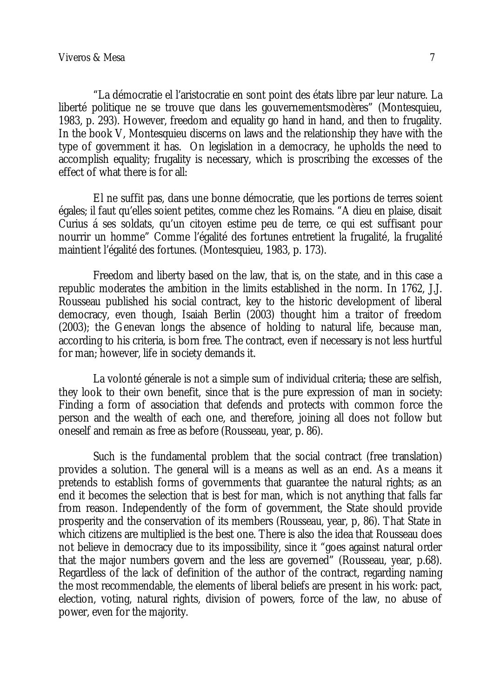"La démocratie el l'aristocratie en sont point des états libre par leur nature. La liberté politique ne se trouve que dans les gouvernementsmodères" (Montesquieu, 1983, p. 293). However, freedom and equality go hand in hand, and then to frugality. In the book V, Montesquieu discerns on laws and the relationship they have with the type of government it has. On legislation in a democracy, he upholds the need to accomplish equality; frugality is necessary, which is proscribing the excesses of the effect of what there is for all:

El ne suffit pas, dans une bonne démocratie, que les portions de terres soient égales; il faut qu'elles soient petites, comme chez les Romains. "A dieu en plaise, disait Curius á ses soldats, qu'un citoyen estime peu de terre, ce qui est suffisant pour nourrir un homme" Comme l'égalité des fortunes entretient la frugalité, la frugalité maintient l'égalité des fortunes. (Montesquieu, 1983, p. 173).

Freedom and liberty based on the law, that is, on the state, and in this case a republic moderates the ambition in the limits established in the norm. In 1762, J.J. Rousseau published his social contract, key to the historic development of liberal democracy, even though, Isaiah Berlin (2003) thought him a traitor of freedom (2003); the Genevan longs the absence of holding to natural life, because man, according to his criteria, is born free. The contract, even if necessary is not less hurtful for man; however, life in society demands it.

La volonté génerale is not a simple sum of individual criteria; these are selfish, they look to their own benefit, since that is the pure expression of man in society: Finding a form of association that defends and protects with common force the person and the wealth of each one, and therefore, joining all does not follow but oneself and remain as free as before (Rousseau, year, p. 86).

Such is the fundamental problem that the social contract (free translation) provides a solution. The general will is a means as well as an end. As a means it pretends to establish forms of governments that guarantee the natural rights; as an end it becomes the selection that is best for man, which is not anything that falls far from reason. Independently of the form of government, the State should provide prosperity and the conservation of its members (Rousseau, year, p, 86). That State in which citizens are multiplied is the best one. There is also the idea that Rousseau does not believe in democracy due to its impossibility, since it "goes against natural order that the major numbers govern and the less are governed" (Rousseau, year, p.68). Regardless of the lack of definition of the author of the contract, regarding naming the most recommendable, the elements of liberal beliefs are present in his work: pact, election, voting, natural rights, division of powers, force of the law, no abuse of power, even for the majority.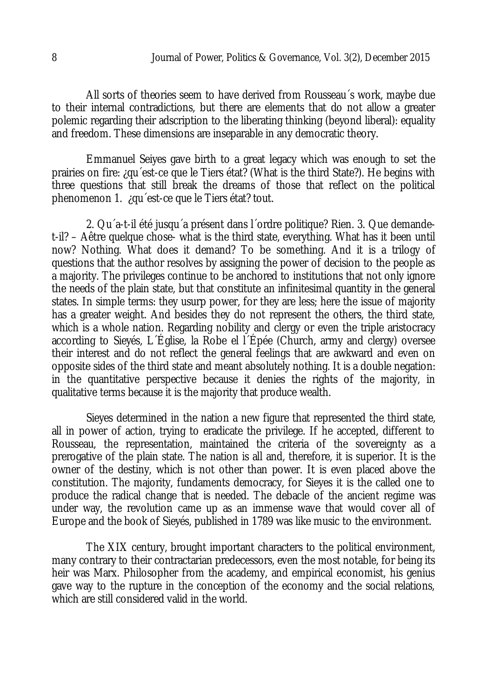All sorts of theories seem to have derived from Rousseau´s work, maybe due to their internal contradictions, but there are elements that do not allow a greater polemic regarding their adscription to the liberating thinking (beyond liberal): equality and freedom. These dimensions are inseparable in any democratic theory.

Emmanuel Seiyes gave birth to a great legacy which was enough to set the prairies on fire: ¿qu´est-ce que le Tiers état? (What is the third State?). He begins with three questions that still break the dreams of those that reflect on the political phenomenon 1. ¿qu´est-ce que le Tiers état? tout.

2. Qu´a-t-il été jusqu´a présent dans l´ordre politique? Rien. 3. Que demandet-il? – Aêtre quelque chose- what is the third state, everything. What has it been until now? Nothing. What does it demand? To be something. And it is a trilogy of questions that the author resolves by assigning the power of decision to the people as a majority. The privileges continue to be anchored to institutions that not only ignore the needs of the plain state, but that constitute an infinitesimal quantity in the general states. In simple terms: they usurp power, for they are less; here the issue of majority has a greater weight. And besides they do not represent the others, the third state, which is a whole nation. Regarding nobility and clergy or even the triple aristocracy according to Sieyés, L´Église, la Robe el l´Épée (Church, army and clergy) oversee their interest and do not reflect the general feelings that are awkward and even on opposite sides of the third state and meant absolutely nothing. It is a double negation: in the quantitative perspective because it denies the rights of the majority, in qualitative terms because it is the majority that produce wealth.

Sieyes determined in the nation a new figure that represented the third state, all in power of action, trying to eradicate the privilege. If he accepted, different to Rousseau, the representation, maintained the criteria of the sovereignty as a prerogative of the plain state. The nation is all and, therefore, it is superior. It is the owner of the destiny, which is not other than power. It is even placed above the constitution. The majority, fundaments democracy, for Sieyes it is the called one to produce the radical change that is needed. The debacle of the ancient regime was under way, the revolution came up as an immense wave that would cover all of Europe and the book of Sieyés, published in 1789 was like music to the environment.

The XIX century, brought important characters to the political environment, many contrary to their contractarian predecessors, even the most notable, for being its heir was Marx. Philosopher from the academy, and empirical economist, his genius gave way to the rupture in the conception of the economy and the social relations, which are still considered valid in the world.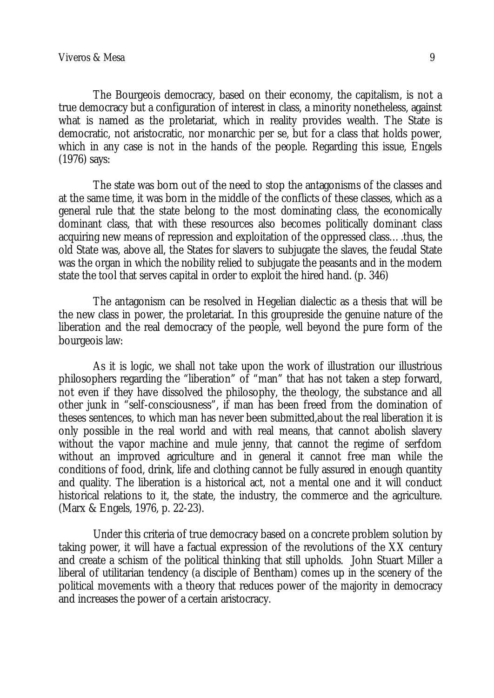The Bourgeois democracy, based on their economy, the capitalism, is not a true democracy but a configuration of interest in class, a minority nonetheless, against what is named as the proletariat, which in reality provides wealth. The State is democratic, not aristocratic, nor monarchic per se, but for a class that holds power, which in any case is not in the hands of the people. Regarding this issue, Engels (1976) says:

The state was born out of the need to stop the antagonisms of the classes and at the same time, it was born in the middle of the conflicts of these classes, which as a general rule that the state belong to the most dominating class, the economically dominant class, that with these resources also becomes politically dominant class acquiring new means of repression and exploitation of the oppressed class….thus, the old State was, above all, the States for slavers to subjugate the slaves, the feudal State was the organ in which the nobility relied to subjugate the peasants and in the modern state the tool that serves capital in order to exploit the hired hand. (p. 346)

The antagonism can be resolved in Hegelian dialectic as a thesis that will be the new class in power, the proletariat. In this groupreside the genuine nature of the liberation and the real democracy of the people, well beyond the pure form of the bourgeois law:

As it is logic, we shall not take upon the work of illustration our illustrious philosophers regarding the "liberation" of "man" that has not taken a step forward, not even if they have dissolved the philosophy, the theology, the substance and all other junk in "self-consciousness", if man has been freed from the domination of theses sentences, to which man has never been submitted,about the real liberation it is only possible in the real world and with real means, that cannot abolish slavery without the vapor machine and mule jenny, that cannot the regime of serfdom without an improved agriculture and in general it cannot free man while the conditions of food, drink, life and clothing cannot be fully assured in enough quantity and quality. The liberation is a historical act, not a mental one and it will conduct historical relations to it, the state, the industry, the commerce and the agriculture. (Marx & Engels, 1976, p. 22-23).

Under this criteria of true democracy based on a concrete problem solution by taking power, it will have a factual expression of the revolutions of the XX century and create a schism of the political thinking that still upholds. John Stuart Miller a liberal of utilitarian tendency (a disciple of Bentham) comes up in the scenery of the political movements with a theory that reduces power of the majority in democracy and increases the power of a certain aristocracy.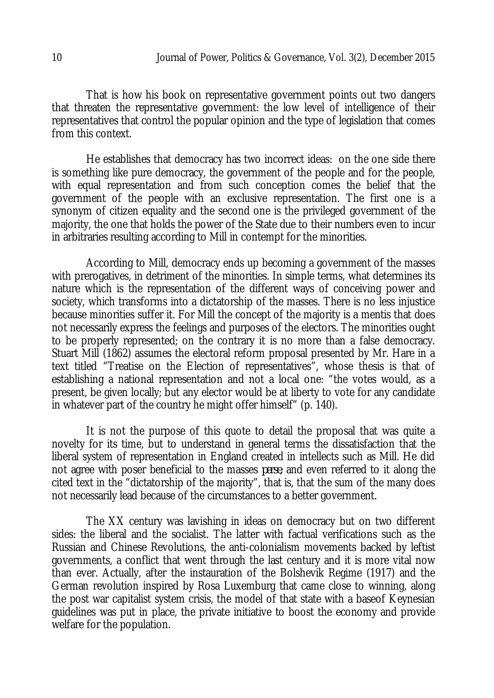That is how his book on representative government points out two dangers that threaten the representative government: the low level of intelligence of their representatives that control the popular opinion and the type of legislation that comes from this context.

He establishes that democracy has two incorrect ideas: on the one side there is something like pure democracy, the government of the people and for the people, with equal representation and from such conception comes the belief that the government of the people with an exclusive representation. The first one is a synonym of citizen equality and the second one is the privileged government of the majority, the one that holds the power of the State due to their numbers even to incur in arbitraries resulting according to Mill in contempt for the minorities.

According to Mill, democracy ends up becoming a government of the masses with prerogatives, in detriment of the minorities. In simple terms, what determines its nature which is the representation of the different ways of conceiving power and society, which transforms into a dictatorship of the masses. There is no less injustice because minorities suffer it. For Mill the concept of the majority is a mentis that does not necessarily express the feelings and purposes of the electors. The minorities ought to be properly represented; on the contrary it is no more than a false democracy. Stuart Mill (1862) assumes the electoral reform proposal presented by Mr. Hare in a text titled "Treatise on the Election of representatives", whose thesis is that of establishing a national representation and not a local one: "the votes would, as a present, be given locally; but any elector would be at liberty to vote for any candidate in whatever part of the country he might offer himself" (p. 140).

It is not the purpose of this quote to detail the proposal that was quite a novelty for its time, but to understand in general terms the dissatisfaction that the liberal system of representation in England created in intellects such as Mill. He did not agree with poser beneficial to the masses *perse*, and even referred to it along the cited text in the "dictatorship of the majority", that is, that the sum of the many does not necessarily lead because of the circumstances to a better government.

The XX century was lavishing in ideas on democracy but on two different sides: the liberal and the socialist. The latter with factual verifications such as the Russian and Chinese Revolutions, the anti-colonialism movements backed by leftist governments, a conflict that went through the last century and it is more vital now than ever. Actually, after the instauration of the Bolshevik Regime (1917) and the German revolution inspired by Rosa Luxemburg that came close to winning, along the post war capitalist system crisis, the model of that state with a baseof Keynesian guidelines was put in place, the private initiative to boost the economy and provide welfare for the population.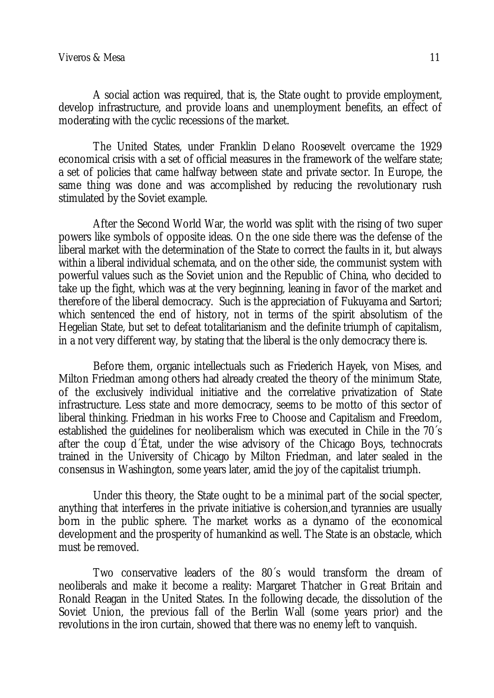A social action was required, that is, the State ought to provide employment, develop infrastructure, and provide loans and unemployment benefits, an effect of moderating with the cyclic recessions of the market.

The United States, under Franklin Delano Roosevelt overcame the 1929 economical crisis with a set of official measures in the framework of the welfare state; a set of policies that came halfway between state and private sector. In Europe, the same thing was done and was accomplished by reducing the revolutionary rush stimulated by the Soviet example.

After the Second World War, the world was split with the rising of two super powers like symbols of opposite ideas. On the one side there was the defense of the liberal market with the determination of the State to correct the faults in it, but always within a liberal individual schemata, and on the other side, the communist system with powerful values such as the Soviet union and the Republic of China, who decided to take up the fight, which was at the very beginning, leaning in favor of the market and therefore of the liberal democracy. Such is the appreciation of Fukuyama and Sartori; which sentenced the end of history, not in terms of the spirit absolutism of the Hegelian State, but set to defeat totalitarianism and the definite triumph of capitalism, in a not very different way, by stating that the liberal is the only democracy there is.

Before them, organic intellectuals such as Friederich Hayek, von Mises, and Milton Friedman among others had already created the theory of the minimum State, of the exclusively individual initiative and the correlative privatization of State infrastructure. Less state and more democracy, seems to be motto of this sector of liberal thinking. Friedman in his works Free to Choose and Capitalism and Freedom, established the guidelines for neoliberalism which was executed in Chile in the 70´s after the coup d´État, under the wise advisory of the Chicago Boys, technocrats trained in the University of Chicago by Milton Friedman, and later sealed in the consensus in Washington, some years later, amid the joy of the capitalist triumph.

Under this theory, the State ought to be a minimal part of the social specter, anything that interferes in the private initiative is cohersion,and tyrannies are usually born in the public sphere. The market works as a dynamo of the economical development and the prosperity of humankind as well. The State is an obstacle, which must be removed.

Two conservative leaders of the 80´s would transform the dream of neoliberals and make it become a reality: Margaret Thatcher in Great Britain and Ronald Reagan in the United States. In the following decade, the dissolution of the Soviet Union, the previous fall of the Berlin Wall (some years prior) and the revolutions in the iron curtain, showed that there was no enemy left to vanquish.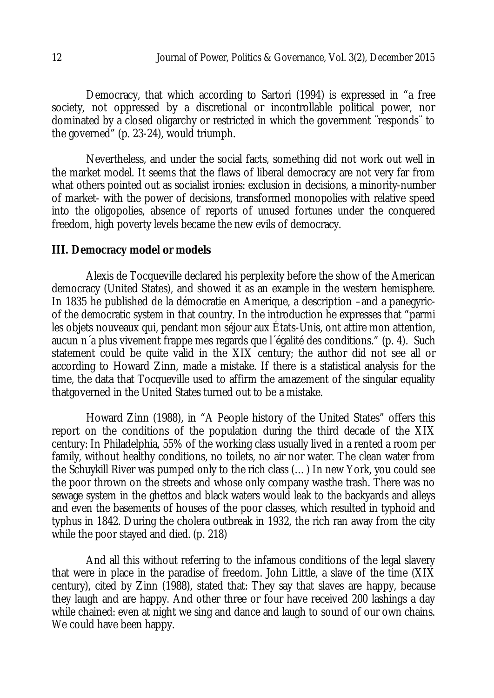Democracy, that which according to Sartori (1994) is expressed in "a free society, not oppressed by a discretional or incontrollable political power, nor dominated by a closed oligarchy or restricted in which the government ¨responds¨ to the governed" (p. 23-24), would triumph.

Nevertheless, and under the social facts, something did not work out well in the market model. It seems that the flaws of liberal democracy are not very far from what others pointed out as socialist ironies: exclusion in decisions, a minority-number of market- with the power of decisions, transformed monopolies with relative speed into the oligopolies, absence of reports of unused fortunes under the conquered freedom, high poverty levels became the new evils of democracy.

#### **III. Democracy model or models**

Alexis de Tocqueville declared his perplexity before the show of the American democracy (United States), and showed it as an example in the western hemisphere. In 1835 he published de la démocratie en Amerique, a description –and a panegyricof the democratic system in that country. In the introduction he expresses that "parmi les objets nouveaux qui, pendant mon séjour aux États-Unis, ont attire mon attention, aucun n´a plus vivement frappe mes regards que l´égalité des conditions." (p. 4). Such statement could be quite valid in the XIX century; the author did not see all or according to Howard Zinn, made a mistake. If there is a statistical analysis for the time, the data that Tocqueville used to affirm the amazement of the singular equality thatgoverned in the United States turned out to be a mistake.

Howard Zinn (1988), in "A People history of the United States" offers this report on the conditions of the population during the third decade of the XIX century: In Philadelphia, 55% of the working class usually lived in a rented a room per family, without healthy conditions, no toilets, no air nor water. The clean water from the Schuykill River was pumped only to the rich class (…) In new York, you could see the poor thrown on the streets and whose only company wasthe trash. There was no sewage system in the ghettos and black waters would leak to the backyards and alleys and even the basements of houses of the poor classes, which resulted in typhoid and typhus in 1842. During the cholera outbreak in 1932, the rich ran away from the city while the poor stayed and died. (p. 218)

And all this without referring to the infamous conditions of the legal slavery that were in place in the paradise of freedom. John Little, a slave of the time (XIX century), cited by Zinn (1988), stated that: They say that slaves are happy, because they laugh and are happy. And other three or four have received 200 lashings a day while chained: even at night we sing and dance and laugh to sound of our own chains. We could have been happy.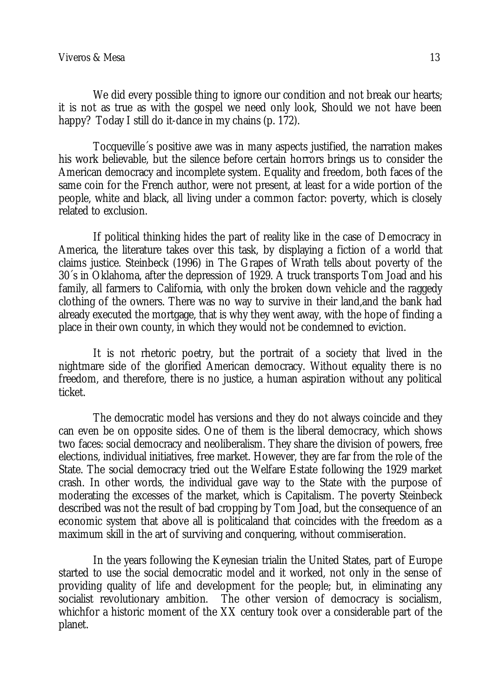We did every possible thing to ignore our condition and not break our hearts; it is not as true as with the gospel we need only look, Should we not have been happy? Today I still do it-dance in my chains (p. 172).

Tocqueville´s positive awe was in many aspects justified, the narration makes his work believable, but the silence before certain horrors brings us to consider the American democracy and incomplete system. Equality and freedom, both faces of the same coin for the French author, were not present, at least for a wide portion of the people, white and black, all living under a common factor: poverty, which is closely related to exclusion.

If political thinking hides the part of reality like in the case of Democracy in America, the literature takes over this task, by displaying a fiction of a world that claims justice. Steinbeck (1996) in The Grapes of Wrath tells about poverty of the 30´s in Oklahoma, after the depression of 1929. A truck transports Tom Joad and his family, all farmers to California, with only the broken down vehicle and the raggedy clothing of the owners. There was no way to survive in their land,and the bank had already executed the mortgage, that is why they went away, with the hope of finding a place in their own county, in which they would not be condemned to eviction.

It is not rhetoric poetry, but the portrait of a society that lived in the nightmare side of the glorified American democracy. Without equality there is no freedom, and therefore, there is no justice, a human aspiration without any political ticket.

The democratic model has versions and they do not always coincide and they can even be on opposite sides. One of them is the liberal democracy, which shows two faces: social democracy and neoliberalism. They share the division of powers, free elections, individual initiatives, free market. However, they are far from the role of the State. The social democracy tried out the Welfare Estate following the 1929 market crash. In other words, the individual gave way to the State with the purpose of moderating the excesses of the market, which is Capitalism. The poverty Steinbeck described was not the result of bad cropping by Tom Joad, but the consequence of an economic system that above all is politicaland that coincides with the freedom as a maximum skill in the art of surviving and conquering, without commiseration.

In the years following the Keynesian trialin the United States, part of Europe started to use the social democratic model and it worked, not only in the sense of providing quality of life and development for the people; but, in eliminating any socialist revolutionary ambition. The other version of democracy is socialism, whichfor a historic moment of the XX century took over a considerable part of the planet.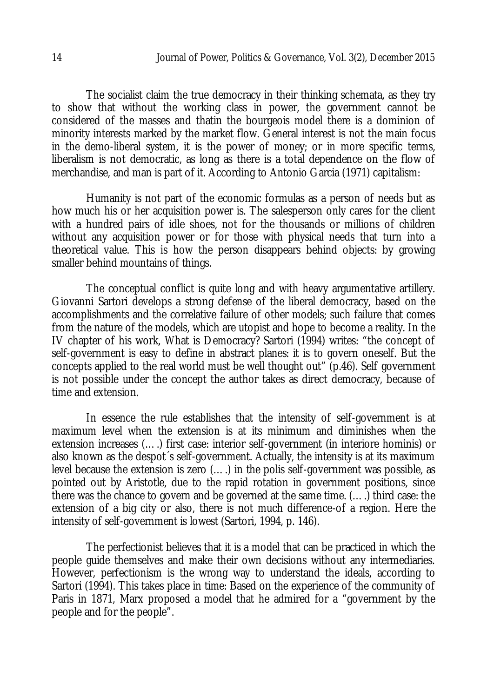The socialist claim the true democracy in their thinking schemata, as they try to show that without the working class in power, the government cannot be considered of the masses and thatin the bourgeois model there is a dominion of minority interests marked by the market flow. General interest is not the main focus in the demo-liberal system, it is the power of money; or in more specific terms, liberalism is not democratic, as long as there is a total dependence on the flow of merchandise, and man is part of it. According to Antonio Garcia (1971) capitalism:

Humanity is not part of the economic formulas as a person of needs but as how much his or her acquisition power is. The salesperson only cares for the client with a hundred pairs of idle shoes, not for the thousands or millions of children without any acquisition power or for those with physical needs that turn into a theoretical value. This is how the person disappears behind objects: by growing smaller behind mountains of things.

The conceptual conflict is quite long and with heavy argumentative artillery. Giovanni Sartori develops a strong defense of the liberal democracy, based on the accomplishments and the correlative failure of other models; such failure that comes from the nature of the models, which are utopist and hope to become a reality. In the IV chapter of his work, What is Democracy? Sartori (1994) writes: "the concept of self-government is easy to define in abstract planes: it is to govern oneself. But the concepts applied to the real world must be well thought out" (p.46). Self government is not possible under the concept the author takes as direct democracy, because of time and extension.

In essence the rule establishes that the intensity of self-government is at maximum level when the extension is at its minimum and diminishes when the extension increases (….) first case: interior self-government (in interiore hominis) or also known as the despot´s self-government. Actually, the intensity is at its maximum level because the extension is zero (….) in the polis self-government was possible, as pointed out by Aristotle, due to the rapid rotation in government positions, since there was the chance to govern and be governed at the same time. (….) third case: the extension of a big city or also, there is not much difference-of a region. Here the intensity of self-government is lowest (Sartori, 1994, p. 146).

The perfectionist believes that it is a model that can be practiced in which the people guide themselves and make their own decisions without any intermediaries. However, perfectionism is the wrong way to understand the ideals, according to Sartori (1994). This takes place in time: Based on the experience of the community of Paris in 1871, Marx proposed a model that he admired for a "government by the people and for the people".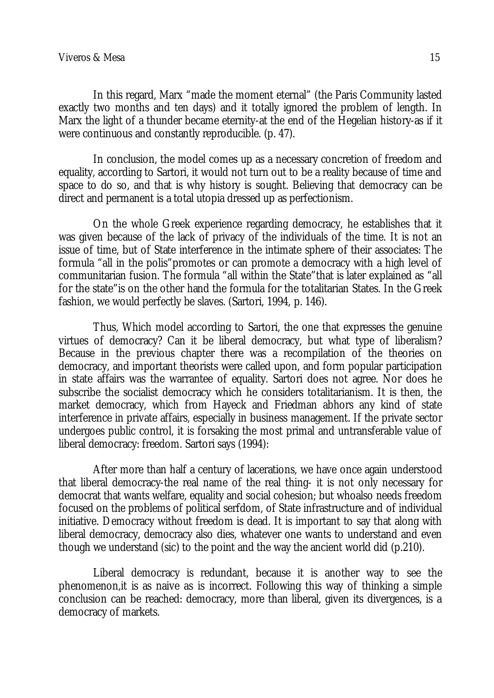In this regard, Marx "made the moment eternal" (the Paris Community lasted exactly two months and ten days) and it totally ignored the problem of length. In Marx the light of a thunder became eternity-at the end of the Hegelian history-as if it were continuous and constantly reproducible. (p. 47).

In conclusion, the model comes up as a necessary concretion of freedom and equality, according to Sartori, it would not turn out to be a reality because of time and space to do so, and that is why history is sought. Believing that democracy can be direct and permanent is a total utopia dressed up as perfectionism.

On the whole Greek experience regarding democracy, he establishes that it was given because of the lack of privacy of the individuals of the time. It is not an issue of time, but of State interference in the intimate sphere of their associates: The formula "all in the polis"promotes or can promote a democracy with a high level of communitarian fusion. The formula "all within the State"that is later explained as "all for the state"is on the other hand the formula for the totalitarian States. In the Greek fashion, we would perfectly be slaves. (Sartori, 1994, p. 146).

Thus, Which model according to Sartori, the one that expresses the genuine virtues of democracy? Can it be liberal democracy, but what type of liberalism? Because in the previous chapter there was a recompilation of the theories on democracy, and important theorists were called upon, and form popular participation in state affairs was the warrantee of equality. Sartori does not agree. Nor does he subscribe the socialist democracy which he considers totalitarianism. It is then, the market democracy, which from Hayeck and Friedman abhors any kind of state interference in private affairs, especially in business management. If the private sector undergoes public control, it is forsaking the most primal and untransferable value of liberal democracy: freedom. Sartori says (1994):

After more than half a century of lacerations, we have once again understood that liberal democracy-the real name of the real thing- it is not only necessary for democrat that wants welfare, equality and social cohesion; but whoalso needs freedom focused on the problems of political serfdom, of State infrastructure and of individual initiative. Democracy without freedom is dead. It is important to say that along with liberal democracy, democracy also dies, whatever one wants to understand and even though we understand (sic) to the point and the way the ancient world did (p.210).

Liberal democracy is redundant, because it is another way to see the phenomenon,it is as naive as is incorrect. Following this way of thinking a simple conclusion can be reached: democracy, more than liberal, given its divergences, is a democracy of markets.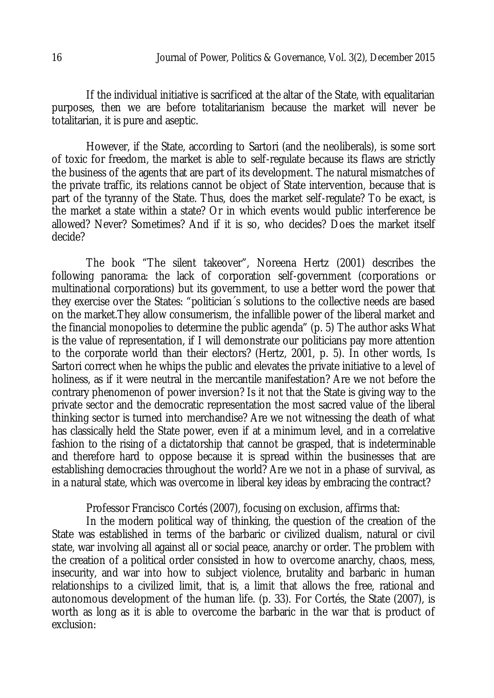If the individual initiative is sacrificed at the altar of the State, with equalitarian purposes, then we are before totalitarianism because the market will never be totalitarian, it is pure and aseptic.

However, if the State, according to Sartori (and the neoliberals), is some sort of toxic for freedom, the market is able to self-regulate because its flaws are strictly the business of the agents that are part of its development. The natural mismatches of the private traffic, its relations cannot be object of State intervention, because that is part of the tyranny of the State. Thus, does the market self-regulate? To be exact, is the market a state within a state? Or in which events would public interference be allowed? Never? Sometimes? And if it is so, who decides? Does the market itself decide?

The book "The silent takeover", Noreena Hertz (2001) describes the following panorama: the lack of corporation self-government (corporations or multinational corporations) but its government, to use a better word the power that they exercise over the States: "politician´s solutions to the collective needs are based on the market.They allow consumerism, the infallible power of the liberal market and the financial monopolies to determine the public agenda" (p. 5) The author asks What is the value of representation, if I will demonstrate our politicians pay more attention to the corporate world than their electors? (Hertz, 2001, p. 5). In other words, Is Sartori correct when he whips the public and elevates the private initiative to a level of holiness, as if it were neutral in the mercantile manifestation? Are we not before the contrary phenomenon of power inversion? Is it not that the State is giving way to the private sector and the democratic representation the most sacred value of the liberal thinking sector is turned into merchandise? Are we not witnessing the death of what has classically held the State power, even if at a minimum level, and in a correlative fashion to the rising of a dictatorship that cannot be grasped, that is indeterminable and therefore hard to oppose because it is spread within the businesses that are establishing democracies throughout the world? Are we not in a phase of survival, as in a natural state, which was overcome in liberal key ideas by embracing the contract?

Professor Francisco Cortés (2007), focusing on exclusion, affirms that:

In the modern political way of thinking, the question of the creation of the State was established in terms of the barbaric or civilized dualism, natural or civil state, war involving all against all or social peace, anarchy or order. The problem with the creation of a political order consisted in how to overcome anarchy, chaos, mess, insecurity, and war into how to subject violence, brutality and barbaric in human relationships to a civilized limit, that is, a limit that allows the free, rational and autonomous development of the human life. (p. 33). For Cortés, the State (2007), is worth as long as it is able to overcome the barbaric in the war that is product of exclusion: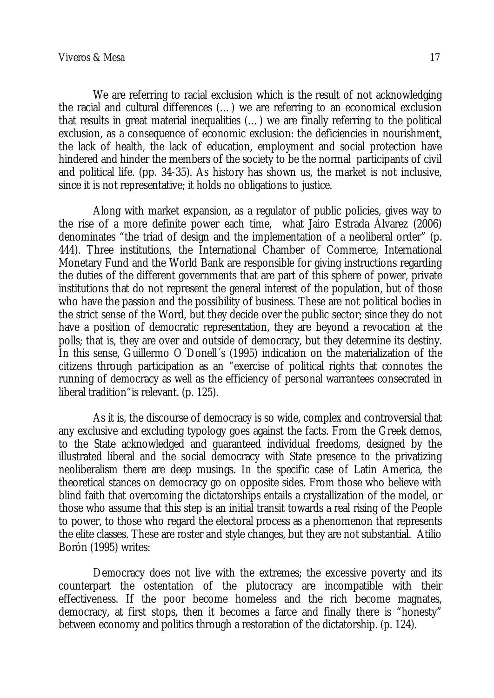We are referring to racial exclusion which is the result of not acknowledging the racial and cultural differences (…) we are referring to an economical exclusion that results in great material inequalities (…) we are finally referring to the political exclusion, as a consequence of economic exclusion: the deficiencies in nourishment, the lack of health, the lack of education, employment and social protection have hindered and hinder the members of the society to be the normal participants of civil and political life. (pp. 34-35). As history has shown us, the market is not inclusive, since it is not representative; it holds no obligations to justice.

Along with market expansion, as a regulator of public policies, gives way to the rise of a more definite power each time, what Jairo Estrada Álvarez (2006) denominates "the triad of design and the implementation of a neoliberal order" (p. 444). Three institutions, the International Chamber of Commerce, International Monetary Fund and the World Bank are responsible for giving instructions regarding the duties of the different governments that are part of this sphere of power, private institutions that do not represent the general interest of the population, but of those who have the passion and the possibility of business. These are not political bodies in the strict sense of the Word, but they decide over the public sector; since they do not have a position of democratic representation, they are beyond a revocation at the polls; that is, they are over and outside of democracy, but they determine its destiny. In this sense, Guillermo O´Donell´s (1995) indication on the materialization of the citizens through participation as an "exercise of political rights that connotes the running of democracy as well as the efficiency of personal warrantees consecrated in liberal tradition"is relevant. (p. 125).

As it is, the discourse of democracy is so wide, complex and controversial that any exclusive and excluding typology goes against the facts. From the Greek demos, to the State acknowledged and guaranteed individual freedoms, designed by the illustrated liberal and the social democracy with State presence to the privatizing neoliberalism there are deep musings. In the specific case of Latin America, the theoretical stances on democracy go on opposite sides. From those who believe with blind faith that overcoming the dictatorships entails a crystallization of the model, or those who assume that this step is an initial transit towards a real rising of the People to power, to those who regard the electoral process as a phenomenon that represents the elite classes. These are roster and style changes, but they are not substantial. Atilio Borón (1995) writes:

Democracy does not live with the extremes; the excessive poverty and its counterpart the ostentation of the plutocracy are incompatible with their effectiveness. If the poor become homeless and the rich become magnates, democracy, at first stops, then it becomes a farce and finally there is "honesty" between economy and politics through a restoration of the dictatorship. (p. 124).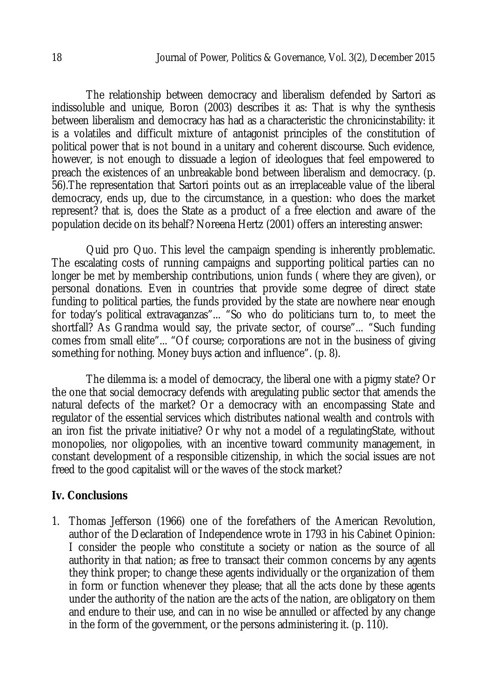The relationship between democracy and liberalism defended by Sartori as indissoluble and unique, Boron (2003) describes it as: That is why the synthesis between liberalism and democracy has had as a characteristic the chronicinstability: it is a volatiles and difficult mixture of antagonist principles of the constitution of political power that is not bound in a unitary and coherent discourse. Such evidence, however, is not enough to dissuade a legion of ideologues that feel empowered to preach the existences of an unbreakable bond between liberalism and democracy. (p. 56).The representation that Sartori points out as an irreplaceable value of the liberal democracy, ends up, due to the circumstance, in a question: who does the market represent? that is, does the State as a product of a free election and aware of the population decide on its behalf? Noreena Hertz (2001) offers an interesting answer:

Quid pro Quo. This level the campaign spending is inherently problematic. The escalating costs of running campaigns and supporting political parties can no longer be met by membership contributions, union funds ( where they are given), or personal donations. Even in countries that provide some degree of direct state funding to political parties, the funds provided by the state are nowhere near enough for today's political extravaganzas"... "So who do politicians turn to, to meet the shortfall? As Grandma would say, the private sector, of course"... "Such funding comes from small elite"... "Of course; corporations are not in the business of giving something for nothing. Money buys action and influence". (p. 8).

The dilemma is: a model of democracy, the liberal one with a pigmy state? Or the one that social democracy defends with aregulating public sector that amends the natural defects of the market? Or a democracy with an encompassing State and regulator of the essential services which distributes national wealth and controls with an iron fist the private initiative? Or why not a model of a regulatingState, without monopolies, nor oligopolies, with an incentive toward community management, in constant development of a responsible citizenship, in which the social issues are not freed to the good capitalist will or the waves of the stock market?

### **Iv. Conclusions**

1. Thomas Jefferson (1966) one of the forefathers of the American Revolution, author of the Declaration of Independence wrote in 1793 in his Cabinet Opinion: I consider the people who constitute a society or nation as the source of all authority in that nation; as free to transact their common concerns by any agents they think proper; to change these agents individually or the organization of them in form or function whenever they please; that all the acts done by these agents under the authority of the nation are the acts of the nation, are obligatory on them and endure to their use, and can in no wise be annulled or affected by any change in the form of the government, or the persons administering it. (p. 110).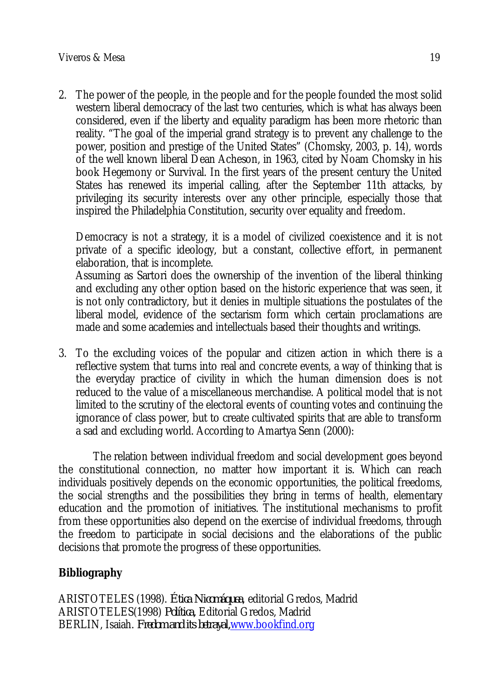2. The power of the people, in the people and for the people founded the most solid western liberal democracy of the last two centuries, which is what has always been considered, even if the liberty and equality paradigm has been more rhetoric than reality. "The goal of the imperial grand strategy is to prevent any challenge to the power, position and prestige of the United States" (Chomsky, 2003, p. 14), words of the well known liberal Dean Acheson, in 1963, cited by Noam Chomsky in his book Hegemony or Survival. In the first years of the present century the United States has renewed its imperial calling, after the September 11th attacks, by privileging its security interests over any other principle, especially those that inspired the Philadelphia Constitution, security over equality and freedom.

Democracy is not a strategy, it is a model of civilized coexistence and it is not private of a specific ideology, but a constant, collective effort, in permanent elaboration, that is incomplete.

Assuming as Sartori does the ownership of the invention of the liberal thinking and excluding any other option based on the historic experience that was seen, it is not only contradictory, but it denies in multiple situations the postulates of the liberal model, evidence of the sectarism form which certain proclamations are made and some academies and intellectuals based their thoughts and writings.

3. To the excluding voices of the popular and citizen action in which there is a reflective system that turns into real and concrete events, a way of thinking that is the everyday practice of civility in which the human dimension does is not reduced to the value of a miscellaneous merchandise. A political model that is not limited to the scrutiny of the electoral events of counting votes and continuing the ignorance of class power, but to create cultivated spirits that are able to transform a sad and excluding world. According to Amartya Senn (2000):

The relation between individual freedom and social development goes beyond the constitutional connection, no matter how important it is. Which can reach individuals positively depends on the economic opportunities, the political freedoms, the social strengths and the possibilities they bring in terms of health, elementary education and the promotion of initiatives. The institutional mechanisms to profit from these opportunities also depend on the exercise of individual freedoms, through the freedom to participate in social decisions and the elaborations of the public decisions that promote the progress of these opportunities.

# **Bibliography**

ARISTOTELES (1998). *Ética Nicomáquea*, editorial Gredos, Madrid ARISTOTELES(1998) *Política,* Editorial Gredos, Madrid BERLIN, Isaiah. *Fredom and its betrayal,*www.bookfind.org